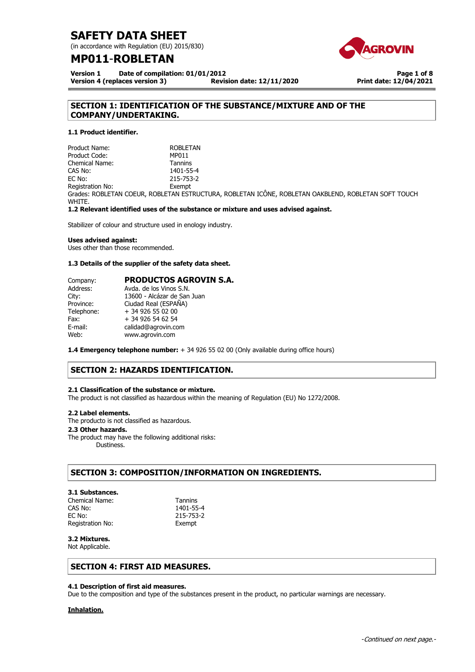(in accordance with Regulation (EU) 2015/830)

# **MP011**-**ROBLETAN**

**Version 1 Date of compilation: 01/01/2012 Version 4 (replaces version 3) Revision date: 12/11/2020**

**Page 1 of 8 Print date: 12/04/2021**

# **SECTION 1: IDENTIFICATION OF THE SUBSTANCE/MIXTURE AND OF THE COMPANY/UNDERTAKING.**

# **1.1 Product identifier.**

Product Name: ROBLETAN Product Code: MP011 Chemical Name: Tannins CAS No: 1401-55-4 EC No: 215-753-2 Registration No: Exempt Grades: ROBLETAN COEUR, ROBLETAN ESTRUCTURA, ROBLETAN ICÔNE, ROBLETAN OAKBLEND, ROBLETAN SOFT TOUCH WHITE.

**1.2 Relevant identified uses of the substance or mixture and uses advised against.** 

Stabilizer of colour and structure used in enology industry.

### **Uses advised against:**

Uses other than those recommended.

### **1.3 Details of the supplier of the safety data sheet.**

| Company:   | <b>PRODUCTOS AGROVIN S.A.</b> |
|------------|-------------------------------|
| Address:   | Avda, de los Vinos S.N.       |
| City:      | 13600 - Alcázar de San Juan   |
| Province:  | Ciudad Real (ESPAÑA)          |
| Telephone: | + 34 926 55 02 00             |
| Fax:       | + 34 926 54 62 54             |
| E-mail:    | calidad@agrovin.com           |
| Web:       | www.agrovin.com               |
|            |                               |

**1.4 Emergency telephone number:** + 34 926 55 02 00 (Only available during office hours)

# **SECTION 2: HAZARDS IDENTIFICATION.**

# **2.1 Classification of the substance or mixture.**

The product is not classified as hazardous within the meaning of Regulation (EU) No 1272/2008.

### **2.2 Label elements.**

The producto is not classified as hazardous..

### **2.3 Other hazards.**

The product may have the following additional risks: Dustiness.

# **SECTION 3: COMPOSITION/INFORMATION ON INGREDIENTS.**

### **3.1 Substances.**

Chemical Name: Tannins CAS No: 1401-55-4 EC No: 215-753-2 Registration No: Exempt

# **3.2 Mixtures.**

Not Applicable.

# **SECTION 4: FIRST AID MEASURES.**

### **4.1 Description of first aid measures.**

Due to the composition and type of the substances present in the product, no particular warnings are necessary.

## **Inhalation.**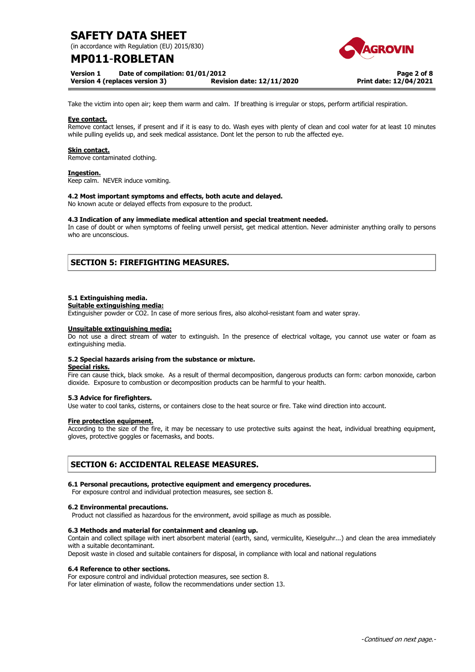(in accordance with Regulation (EU) 2015/830)

# **MP011**-**ROBLETAN**

**Version 1 Date of compilation: 01/01/2012** 

**Version 4 (replaces version 3) Revision date: 12/11/2020**

**Page 2 of 8 Print date: 12/04/2021**

Take the victim into open air; keep them warm and calm. If breathing is irregular or stops, perform artificial respiration.

### **Eye contact.**

Remove contact lenses, if present and if it is easy to do. Wash eyes with plenty of clean and cool water for at least 10 minutes while pulling eyelids up, and seek medical assistance. Dont let the person to rub the affected eye.

## **Skin contact.**

Remove contaminated clothing.

### **Ingestion.**

Keep calm. NEVER induce vomiting.

### **4.2 Most important symptoms and effects, both acute and delayed.**

No known acute or delayed effects from exposure to the product.

### **4.3 Indication of any immediate medical attention and special treatment needed.**

In case of doubt or when symptoms of feeling unwell persist, get medical attention. Never administer anything orally to persons who are unconscious.

# **SECTION 5: FIREFIGHTING MEASURES.**

### **5.1 Extinguishing media.**

#### **Suitable extinguishing media:**

Extinguisher powder or CO2. In case of more serious fires, also alcohol-resistant foam and water spray.

#### **Unsuitable extinguishing media:**

Do not use a direct stream of water to extinguish. In the presence of electrical voltage, you cannot use water or foam as extinguishing media.

### **5.2 Special hazards arising from the substance or mixture.**

#### **Special risks.**

Fire can cause thick, black smoke. As a result of thermal decomposition, dangerous products can form: carbon monoxide, carbon dioxide. Exposure to combustion or decomposition products can be harmful to your health.

### **5.3 Advice for firefighters.**

Use water to cool tanks, cisterns, or containers close to the heat source or fire. Take wind direction into account.

### **Fire protection equipment.**

According to the size of the fire, it may be necessary to use protective suits against the heat, individual breathing equipment, gloves, protective goggles or facemasks, and boots.

# **SECTION 6: ACCIDENTAL RELEASE MEASURES.**

### **6.1 Personal precautions, protective equipment and emergency procedures.**

For exposure control and individual protection measures, see section 8.

### **6.2 Environmental precautions.**

Product not classified as hazardous for the environment, avoid spillage as much as possible.

### **6.3 Methods and material for containment and cleaning up.**

Contain and collect spillage with inert absorbent material (earth, sand, vermiculite, Kieselguhr...) and clean the area immediately with a suitable decontaminant.

Deposit waste in closed and suitable containers for disposal, in compliance with local and national regulations

### **6.4 Reference to other sections.**

For exposure control and individual protection measures, see section 8. For later elimination of waste, follow the recommendations under section 13.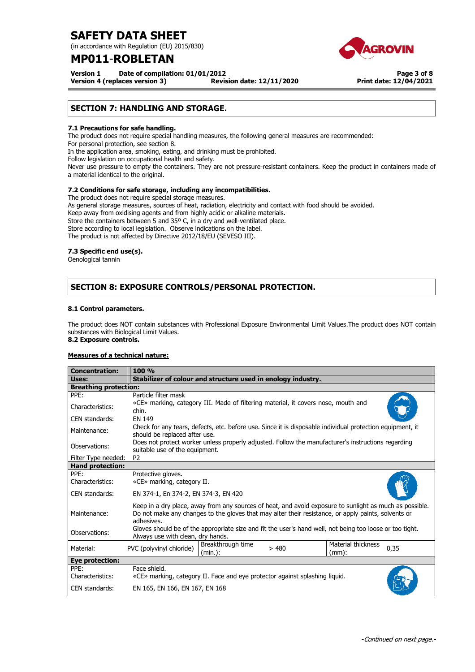(in accordance with Regulation (EU) 2015/830)

# **MP011**-**ROBLETAN**

*<u><b>IGROVIN</u>* 

**Version 1 Date of compilation: 01/01/2012** 

**Version 4 (replaces version 3) Revision date: 12/11/2020**

**Page 3 of 8 Print date: 12/04/2021**

# **SECTION 7: HANDLING AND STORAGE.**

## **7.1 Precautions for safe handling.**

The product does not require special handling measures, the following general measures are recommended: For personal protection, see section 8.

In the application area, smoking, eating, and drinking must be prohibited.

Follow legislation on occupational health and safety.

Never use pressure to empty the containers. They are not pressure-resistant containers. Keep the product in containers made of a material identical to the original.

# **7.2 Conditions for safe storage, including any incompatibilities.**

The product does not require special storage measures. As general storage measures, sources of heat, radiation, electricity and contact with food should be avoided. Keep away from oxidising agents and from highly acidic or alkaline materials. Store the containers between 5 and 35º C, in a dry and well-ventilated place. Store according to local legislation. Observe indications on the label. The product is not affected by Directive 2012/18/EU (SEVESO III).

### **7.3 Specific end use(s).**

Oenological tannin

# **SECTION 8: EXPOSURE CONTROLS/PERSONAL PROTECTION.**

# **8.1 Control parameters.**

The product does NOT contain substances with Professional Exposure Environmental Limit Values.The product does NOT contain substances with Biological Limit Values.

# **8.2 Exposure controls.**

# **Measures of a technical nature:**

| <b>Concentration:</b>        | 100 %                                                                                                                                                                                                                        |  |  |  |
|------------------------------|------------------------------------------------------------------------------------------------------------------------------------------------------------------------------------------------------------------------------|--|--|--|
| Uses:                        | Stabilizer of colour and structure used in enology industry.                                                                                                                                                                 |  |  |  |
| <b>Breathing protection:</b> |                                                                                                                                                                                                                              |  |  |  |
| PPE:                         | Particle filter mask                                                                                                                                                                                                         |  |  |  |
| Characteristics:             | «CE» marking, category III. Made of filtering material, it covers nose, mouth and<br>chin.                                                                                                                                   |  |  |  |
| CEN standards:               | <b>EN 149</b>                                                                                                                                                                                                                |  |  |  |
| Maintenance:                 | Check for any tears, defects, etc. before use. Since it is disposable individual protection equipment, it<br>should be replaced after use.                                                                                   |  |  |  |
| Observations:                | Does not protect worker unless properly adjusted. Follow the manufacturer's instructions regarding<br>suitable use of the equipment.                                                                                         |  |  |  |
| Filter Type needed:          | P <sub>2</sub>                                                                                                                                                                                                               |  |  |  |
| <b>Hand protection:</b>      |                                                                                                                                                                                                                              |  |  |  |
| PPE:                         | Protective gloves.                                                                                                                                                                                                           |  |  |  |
| Characteristics:             | «CE» marking, category II.                                                                                                                                                                                                   |  |  |  |
| CEN standards:               | EN 374-1, En 374-2, EN 374-3, EN 420                                                                                                                                                                                         |  |  |  |
| Maintenance:                 | Keep in a dry place, away from any sources of heat, and avoid exposure to sunlight as much as possible.<br>Do not make any changes to the gloves that may alter their resistance, or apply paints, solvents or<br>adhesives. |  |  |  |
| Observations:                | Gloves should be of the appropriate size and fit the user's hand well, not being too loose or too tight.<br>Always use with clean, dry hands.                                                                                |  |  |  |
| Material:                    | Material thickness<br>Breakthrough time<br>PVC (polyvinyl chloride)<br>0,35<br>>480<br>(min.):<br>$(mm)$ :                                                                                                                   |  |  |  |
| <b>Eye protection:</b>       |                                                                                                                                                                                                                              |  |  |  |
| PPE:                         | Face shield.                                                                                                                                                                                                                 |  |  |  |
| Characteristics:             | «CE» marking, category II. Face and eye protector against splashing liquid.                                                                                                                                                  |  |  |  |
| CEN standards:               | EN 165, EN 166, EN 167, EN 168                                                                                                                                                                                               |  |  |  |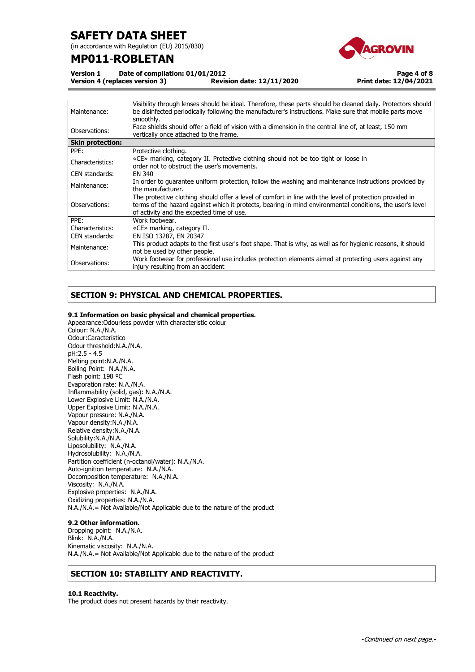(in accordance with Regulation (EU) 2015/830)

# **MP011**-**ROBLETAN**



**Page 4 of 8**

**Print date: 12/04/2021**

**Version 1 Date of compilation: 01/01/2012** 

**Version 4 (replaces version 3) Revision date: 12/11/2020**

Maintenance: Visibility through lenses should be ideal. Therefore, these parts should be cleaned daily. Protectors should be disinfected periodically following the manufacturer's instructions. Make sure that mobile parts move smoothly. Observations: Face shields should offer a field of vision with a dimension in the central line of, at least, 150 mm vertically once attached to the frame. **Skin protection:** PPE: Protective clothing. Characteristics: «CE» marking, category II. Protective clothing should not be too tight or loose in order not to obstruct the user's movements. CEN standards: EN 340 Maintenance: In order to guarantee uniform protection, follow the washing and maintenance instructions provided by the manufacturer. Observations: The protective clothing should offer a level of comfort in line with the level of protection provided in terms of the hazard against which it protects, bearing in mind environmental conditions, the user's level of activity and the expected time of use. PPE: Work footwear. Characteristics: «CE» marking, category II. CEN standards: EN ISO 13287, EN 20347 Maintenance: This product adapts to the first user's foot shape. That is why, as well as for hygienic reasons, it should not be used by other people. Observations: Work footwear for professional use includes protection elements aimed at protecting users against any injury resulting from an accident

# **SECTION 9: PHYSICAL AND CHEMICAL PROPERTIES.**

# **9.1 Information on basic physical and chemical properties.**

Appearance:Odourless powder with characteristic colour Colour: N.A./N.A. Odour:Característico Odour threshold:N.A./N.A. pH:2.5 - 4.5 Melting point:N.A./N.A. Boiling Point: N.A./N.A. Flash point: 198 ºC Evaporation rate: N.A./N.A. Inflammability (solid, gas): N.A./N.A. Lower Explosive Limit: N.A./N.A. Upper Explosive Limit: N.A./N.A. Vapour pressure: N.A./N.A. Vapour density:N.A./N.A. Relative density:N.A./N.A. Solubility:N.A./N.A. Liposolubility: N.A./N.A. Hydrosolubility: N.A./N.A. Partition coefficient (n-octanol/water): N.A./N.A. Auto-ignition temperature: N.A./N.A. Decomposition temperature: N.A./N.A. Viscosity: N.A./N.A. Explosive properties: N.A./N.A. Oxidizing properties: N.A./N.A. N.A./N.A.= Not Available/Not Applicable due to the nature of the product

# **9.2 Other information.**

Dropping point: N.A./N.A. Blink: N.A./N.A. Kinematic viscosity: N.A./N.A. N.A./N.A.= Not Available/Not Applicable due to the nature of the product

# **SECTION 10: STABILITY AND REACTIVITY.**

### **10.1 Reactivity.**

The product does not present hazards by their reactivity.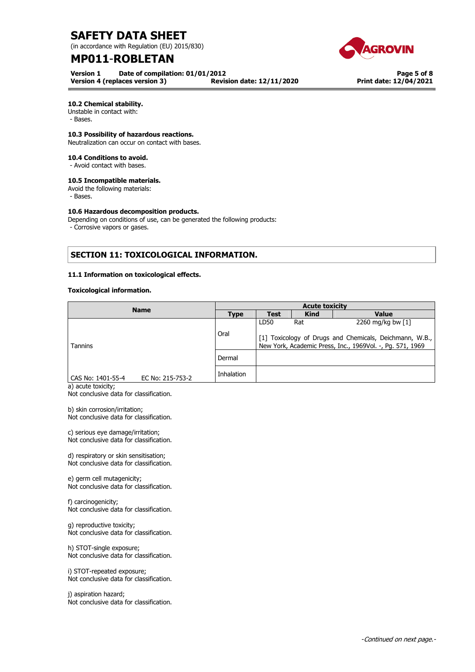(in accordance with Regulation (EU) 2015/830)

# **MP011**-**ROBLETAN**

**Version 1 Date of compilation: 01/01/2012 Version 4 (replaces version 3)** 



**Page 5 of 8 Print date: 12/04/2021**

# **10.2 Chemical stability.**

Unstable in contact with:

- Bases.

# **10.3 Possibility of hazardous reactions.**

Neutralization can occur on contact with bases.

### **10.4 Conditions to avoid.**

- Avoid contact with bases.

## **10.5 Incompatible materials.**

Avoid the following materials:

- Bases.

### **10.6 Hazardous decomposition products.**

Depending on conditions of use, can be generated the following products:

- Corrosive vapors or gases.

# **SECTION 11: TOXICOLOGICAL INFORMATION.**

# **11.1 Information on toxicological effects.**

### **Toxicological information.**

| <b>Name</b>       |                  | <b>Acute toxicity</b> |                                                                                                                      |             |                   |
|-------------------|------------------|-----------------------|----------------------------------------------------------------------------------------------------------------------|-------------|-------------------|
|                   |                  | <b>Type</b>           | <b>Test</b>                                                                                                          | <b>Kind</b> | <b>Value</b>      |
|                   |                  |                       | LD50                                                                                                                 | Rat         | 2260 mg/kg bw [1] |
| <b>Tannins</b>    |                  | Oral                  | [1] Toxicology of Drugs and Chemicals, Deichmann, W.B.,<br>New York, Academic Press, Inc., 1969Vol. -, Pg. 571, 1969 |             |                   |
|                   |                  | Dermal                |                                                                                                                      |             |                   |
| CAS No: 1401-55-4 | EC No: 215-753-2 | Inhalation            |                                                                                                                      |             |                   |

a) acute toxicity;

Not conclusive data for classification.

b) skin corrosion/irritation; Not conclusive data for classification.

c) serious eye damage/irritation; Not conclusive data for classification.

d) respiratory or skin sensitisation; Not conclusive data for classification.

e) germ cell mutagenicity; Not conclusive data for classification.

f) carcinogenicity; Not conclusive data for classification.

g) reproductive toxicity; Not conclusive data for classification.

h) STOT-single exposure; Not conclusive data for classification.

i) STOT-repeated exposure; Not conclusive data for classification.

j) aspiration hazard; Not conclusive data for classification.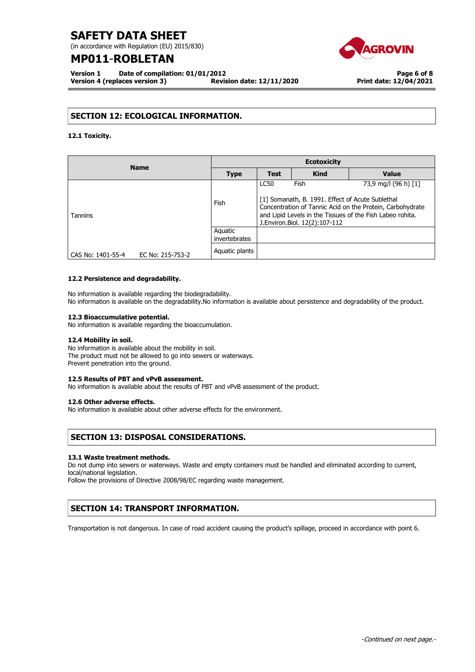(in accordance with Regulation (EU) 2015/830)

# **MP011**-**ROBLETAN**

**Version 1 Date of compilation: 01/01/2012 Version 4 (replaces version 3) Revision date: 12/11/2020**



# **SECTION 12: ECOLOGICAL INFORMATION.**

**12.1 Toxicity.** 

| <b>Name</b>       |                  | <b>Ecotoxicity</b>       |                                                                                                                                                                                                                |             |                      |
|-------------------|------------------|--------------------------|----------------------------------------------------------------------------------------------------------------------------------------------------------------------------------------------------------------|-------------|----------------------|
|                   |                  | <b>Type</b>              | <b>Test</b>                                                                                                                                                                                                    | <b>Kind</b> | <b>Value</b>         |
|                   |                  |                          | <b>LC50</b>                                                                                                                                                                                                    | Fish        | 73,9 mg/l (96 h) [1] |
| Tannins           |                  | Fish                     | [1] Somanath, B. 1991. Effect of Acute Sublethal<br>Concentration of Tannic Acid on the Protein, Carbohydrate<br>and Lipid Levels in the Tissues of the Fish Labeo rohita.<br>J. Environ. Biol. 12(2): 107-112 |             |                      |
|                   |                  | Aquatic<br>invertebrates |                                                                                                                                                                                                                |             |                      |
| CAS No: 1401-55-4 | EC No: 215-753-2 | Aquatic plants           |                                                                                                                                                                                                                |             |                      |

### **12.2 Persistence and degradability.**

No information is available regarding the biodegradability. No information is available on the degradability.No information is available about persistence and degradability of the product.

### **12.3 Bioaccumulative potential.**

No information is available regarding the bioaccumulation.

### **12.4 Mobility in soil.**

No information is available about the mobility in soil. The product must not be allowed to go into sewers or waterways. Prevent penetration into the ground.

### **12.5 Results of PBT and vPvB assessment.**

No information is available about the results of PBT and vPvB assessment of the product.

### **12.6 Other adverse effects.**

No information is available about other adverse effects for the environment.

# **SECTION 13: DISPOSAL CONSIDERATIONS.**

### **13.1 Waste treatment methods.**

Do not dump into sewers or waterways. Waste and empty containers must be handled and eliminated according to current, local/national legislation.

Follow the provisions of Directive 2008/98/EC regarding waste management.

# **SECTION 14: TRANSPORT INFORMATION.**

Transportation is not dangerous. In case of road accident causing the product's spillage, proceed in accordance with point 6.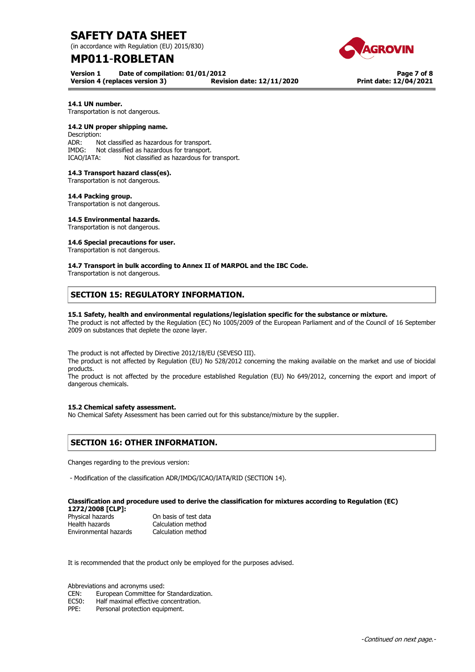(in accordance with Regulation (EU) 2015/830)

# **MP011**-**ROBLETAN**

**Version 1 Date of compilation: 01/01/2012 Version 4 (replaces version 3) Revision date: 12/11/2020**

**Page 7 of 8 Print date: 12/04/2021**

# **14.1 UN number.**

Transportation is not dangerous.

### **14.2 UN proper shipping name.**

Description: ADR: Not classified as hazardous for transport. IMDG: Not classified as hazardous for transport. ICAO/IATA: Not classified as hazardous for transport.

## **14.3 Transport hazard class(es).**

Transportation is not dangerous.

#### **14.4 Packing group.**

Transportation is not dangerous.

### **14.5 Environmental hazards.**

Transportation is not dangerous.

### **14.6 Special precautions for user.**

Transportation is not dangerous.

### **14.7 Transport in bulk according to Annex II of MARPOL and the IBC Code.**

Transportation is not dangerous.

# **SECTION 15: REGULATORY INFORMATION.**

### **15.1 Safety, health and environmental regulations/legislation specific for the substance or mixture.**

The product is not affected by the Regulation (EC) No 1005/2009 of the European Parliament and of the Council of 16 September 2009 on substances that deplete the ozone layer.

The product is not affected by Directive 2012/18/EU (SEVESO III).

The product is not affected by Regulation (EU) No 528/2012 concerning the making available on the market and use of biocidal products.

The product is not affected by the procedure established Regulation (EU) No 649/2012, concerning the export and import of dangerous chemicals.

### **15.2 Chemical safety assessment.**

No Chemical Safety Assessment has been carried out for this substance/mixture by the supplier.

# **SECTION 16: OTHER INFORMATION.**

Changes regarding to the previous version:

- Modification of the classification ADR/IMDG/ICAO/IATA/RID (SECTION 14).

#### **Classification and procedure used to derive the classification for mixtures according to Regulation (EC) 1272/2008 [CLP]:**

| 14/4/4000   ULF   .   |                       |
|-----------------------|-----------------------|
| Physical hazards      | On basis of test data |
| Health hazards        | Calculation method    |
| Environmental hazards | Calculation method    |

It is recommended that the product only be employed for the purposes advised.

Abbreviations and acronyms used:

CEN: European Committee for Standardization.

EC50: Half maximal effective concentration.<br>PPE: Personal protection equipment.

Personal protection equipment.